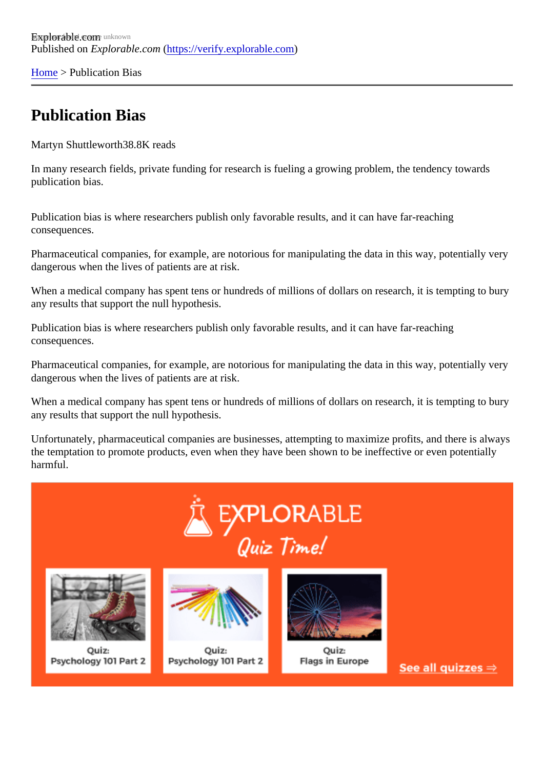[Home](https://verify.explorable.com/) > Publication Bias

### Publication Bias

Martyn Shuttlewort<sup>88.8K</sup> reads

In many research fields, private funding for research is fueling a growing problem, the tendency towards publication bias.

Publication bias is where researchers publish only favorable results, and it can have far-reaching consequences.

Pharmaceutical companies, for example, are notorious for manipulating the data in this way, potentially ve dangerous when the lives of patients are at risk.

When a medical company has spent tens or hundreds of millions of dollars on research, it is tempting to b any results that support the null hypothesis.

Publication bias is where researchers publish only favorable results, and it can have far-reaching consequences.

Pharmaceutical companies, for example, are notorious for manipulating the data in this way, potentially very dangerous when the lives of patients are at risk.

When a medical company has spent tens or hundreds of millions of dollars on research, it is tempting to b any results that support the null hypothesis.

Unfortunately, pharmaceutical companies are businesses, attempting to maximize profits, and there is alw the temptation to promote products, even when they have been shown to be ineffective or even potentially harmful.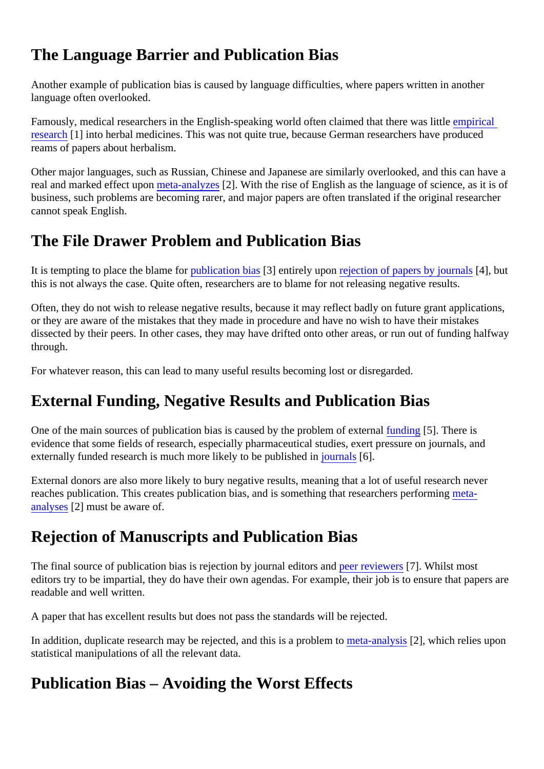## The Language Barrier and Publication Bias

Another example of publication bias is caused by language difficulties, where papers written in another language often overlooked.

Famously, medical researchers in the English-speaking world often claimed that there veasplittleal [researc](https://verify.explorable.com/empirical-research)h<sup>[1]</sup> into herbal medicines. This was not quite true, because German researchers have produced reams of papers about herbalism.

Other major languages, such as Russian, Chinese and Japanese are similarly overlooked, and this can ha real and marked effect upometa-analyze<sup>[2]</sup>. With the rise of English as the language of science, as it is of business, such problems are becoming rarer, and major papers are often translated if the original research cannot speak English.

### The File Drawer Problem and Publication Bias

It is tempting to place the blame for ublication bias 3] entirely upor rejection of papers by journals, but this is not always the case. Quite often, researchers are to blame for not releasing negative results.

Often, they do not wish to release negative results, because it may reflect badly on future grant application or they are aware of the mistakes that they made in procedure and have no wish to have their mistakes dissected by their peers. In other cases, they may have drifted onto other areas, or run out of funding halfway through.

For whatever reason, this can lead to many useful results becoming lost or disregarded.

# External Funding, Negative Results and Publication Bias

One of the main sources of publication bias is caused by the problem of externation [5]. There is evidence that some fields of research, especially pharmaceutical studies, exert pressure on journals, and externally funded research is much more likely to be publishjed inals[6].

External donors are also more likely to bury negative results, meaning that a lot of useful research never reaches publication. This creates publication bias, and is something that researchers p[erform](https://verify.explorable.com/meta-analysis)ing [analyse](https://verify.explorable.com/meta-analysis)\$2] must be aware of.

### Rejection of Manuscripts and Publication Bias

The final source of publication bias is rejection by journal editors and reviewers<sup>7</sup>]. Whilst most editors try to be impartial, they do have their own agendas. For example, their job is to ensure that papers readable and well written.

A paper that has excellent results but does not pass the standards will be rejected.

In addition, duplicate research may be rejected, and this is a problem to malysit  $2$ , which relies upon statistical manipulations of all the relevant data.

### Publication Bias – Avoiding the Worst Effects